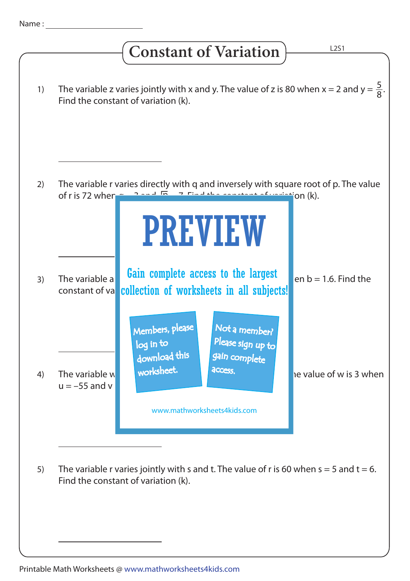